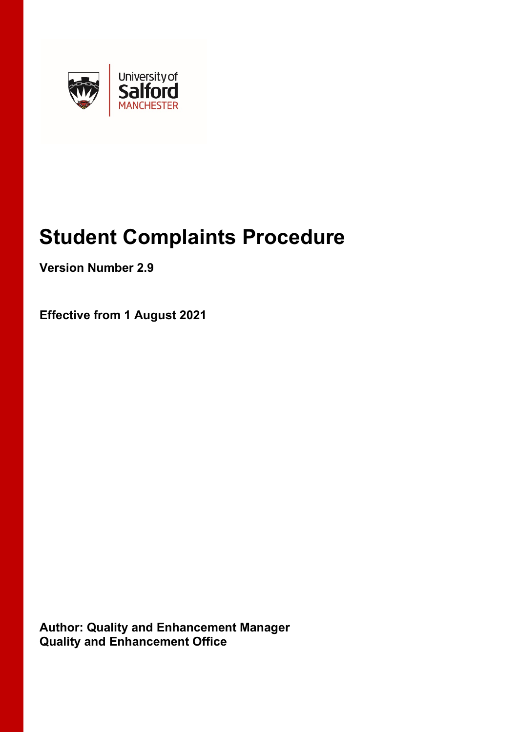

# **Student Complaints Procedure**

**Version Number 2.9**

**Effective from 1 August 2021**

**Author: Quality and Enhancement Manager Quality and Enhancement Office**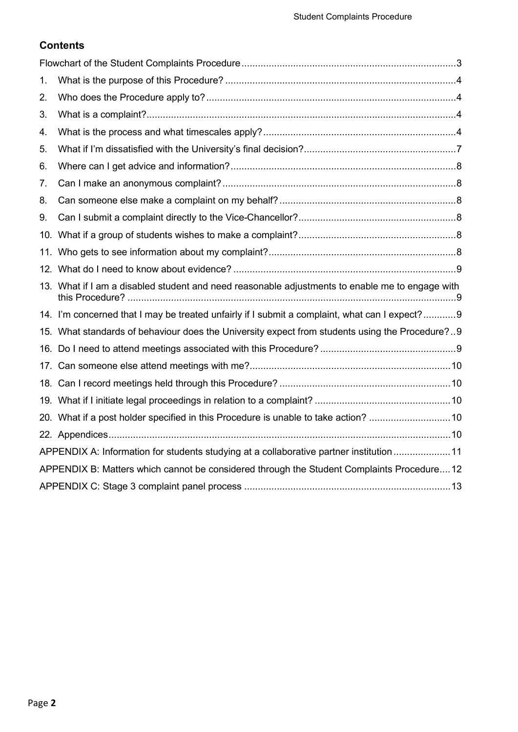# **Contents**

| 1.                                                                                        |                                                                                                 |  |  |  |  |
|-------------------------------------------------------------------------------------------|-------------------------------------------------------------------------------------------------|--|--|--|--|
| 2.                                                                                        |                                                                                                 |  |  |  |  |
| 3.                                                                                        |                                                                                                 |  |  |  |  |
| 4.                                                                                        |                                                                                                 |  |  |  |  |
| 5.                                                                                        |                                                                                                 |  |  |  |  |
| 6.                                                                                        |                                                                                                 |  |  |  |  |
| 7.                                                                                        |                                                                                                 |  |  |  |  |
| 8.                                                                                        |                                                                                                 |  |  |  |  |
| 9.                                                                                        |                                                                                                 |  |  |  |  |
|                                                                                           |                                                                                                 |  |  |  |  |
|                                                                                           |                                                                                                 |  |  |  |  |
|                                                                                           |                                                                                                 |  |  |  |  |
|                                                                                           | 13. What if I am a disabled student and need reasonable adjustments to enable me to engage with |  |  |  |  |
|                                                                                           | 14. I'm concerned that I may be treated unfairly if I submit a complaint, what can I expect?9   |  |  |  |  |
|                                                                                           | 15. What standards of behaviour does the University expect from students using the Procedure?9  |  |  |  |  |
|                                                                                           |                                                                                                 |  |  |  |  |
|                                                                                           |                                                                                                 |  |  |  |  |
|                                                                                           |                                                                                                 |  |  |  |  |
|                                                                                           |                                                                                                 |  |  |  |  |
|                                                                                           | 20. What if a post holder specified in this Procedure is unable to take action? 10              |  |  |  |  |
|                                                                                           |                                                                                                 |  |  |  |  |
| APPENDIX A: Information for students studying at a collaborative partner institution 11   |                                                                                                 |  |  |  |  |
| APPENDIX B: Matters which cannot be considered through the Student Complaints Procedure12 |                                                                                                 |  |  |  |  |
|                                                                                           |                                                                                                 |  |  |  |  |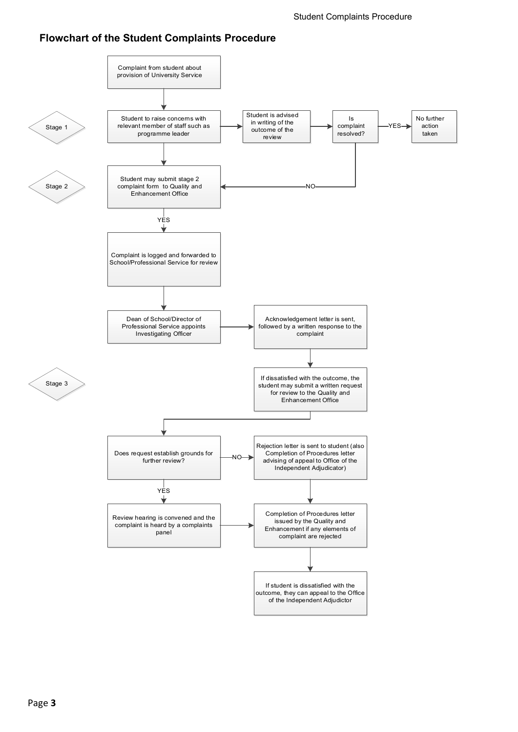# <span id="page-2-0"></span>**Flowchart of the Student Complaints Procedure**

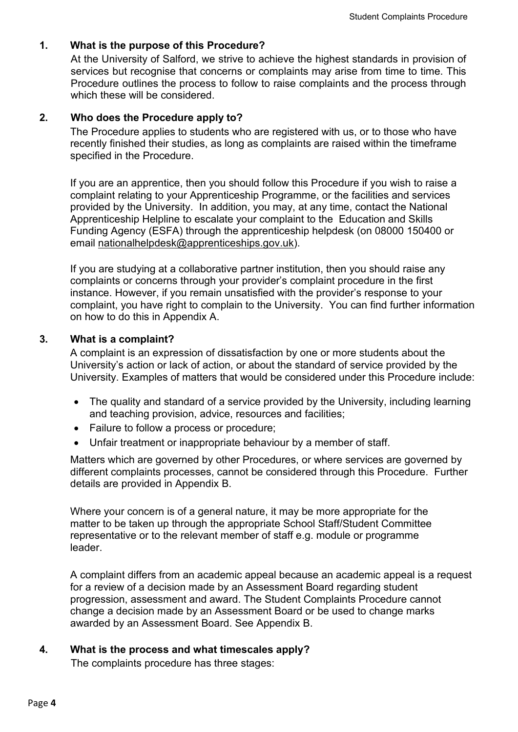## <span id="page-3-0"></span>**1. What is the purpose of this Procedure?**

At the University of Salford, we strive to achieve the highest standards in provision of services but recognise that concerns or complaints may arise from time to time. This Procedure outlines the process to follow to raise complaints and the process through which these will be considered.

## <span id="page-3-1"></span>**2. Who does the Procedure apply to?**

The Procedure applies to students who are registered with us, or to those who have recently finished their studies, as long as complaints are raised within the timeframe specified in the Procedure.

If you are an apprentice, then you should follow this Procedure if you wish to raise a complaint relating to your Apprenticeship Programme, or the facilities and services provided by the University. In addition, you may, at any time, contact the National Apprenticeship Helpline to escalate your complaint to the Education and Skills Funding Agency (ESFA) through the apprenticeship helpdesk (on 08000 150400 or email [nationalhelpdesk@apprenticeships.gov.uk\)](mailto:nationalhelpdesk@apprenticeships.gov.uk).

If you are studying at a collaborative partner institution, then you should raise any complaints or concerns through your provider's complaint procedure in the first instance. However, if you remain unsatisfied with the provider's response to your complaint, you have right to complain to the University. You can find further information on how to do this in Appendix A.

#### <span id="page-3-2"></span>**3. What is a complaint?**

A complaint is an expression of dissatisfaction by one or more students about the University's action or lack of action, or about the standard of service provided by the University. Examples of matters that would be considered under this Procedure include:

- The quality and standard of a service provided by the University, including learning and teaching provision, advice, resources and facilities;
- Failure to follow a process or procedure;
- Unfair treatment or inappropriate behaviour by a member of staff.

Matters which are governed by other Procedures, or where services are governed by different complaints processes, cannot be considered through this Procedure. Further details are provided in Appendix B.

Where your concern is of a general nature, it may be more appropriate for the matter to be taken up through the appropriate School Staff/Student Committee representative or to the relevant member of staff e.g. module or programme leader.

A complaint differs from an academic appeal because an academic appeal is a request for a review of a decision made by an Assessment Board regarding student progression, assessment and award. The Student Complaints Procedure cannot change a decision made by an Assessment Board or be used to change marks awarded by an Assessment Board. See Appendix B.

## <span id="page-3-3"></span>**4. What is the process and what timescales apply?**

The complaints procedure has three stages: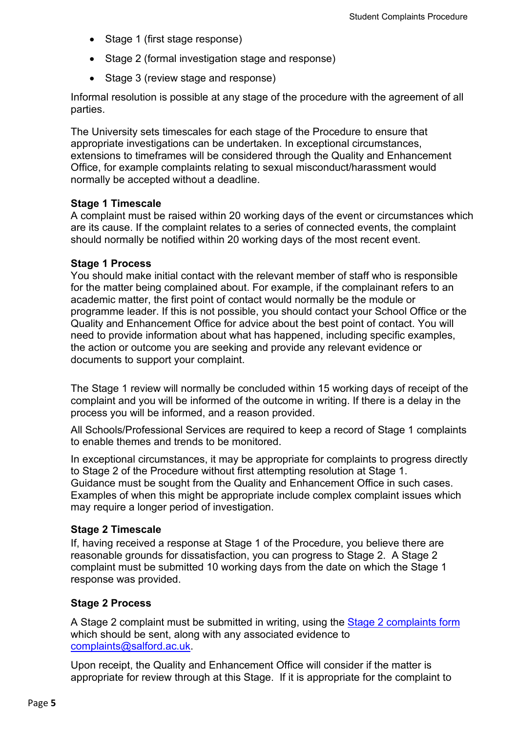- Stage 1 (first stage response)
- Stage 2 (formal investigation stage and response)
- Stage 3 (review stage and response)

Informal resolution is possible at any stage of the procedure with the agreement of all parties.

The University sets timescales for each stage of the Procedure to ensure that appropriate investigations can be undertaken. In exceptional circumstances, extensions to timeframes will be considered through the Quality and Enhancement Office, for example complaints relating to sexual misconduct/harassment would normally be accepted without a deadline.

#### **Stage 1 Timescale**

A complaint must be raised within 20 working days of the event or circumstances which are its cause. If the complaint relates to a series of connected events, the complaint should normally be notified within 20 working days of the most recent event.

#### **Stage 1 Process**

You should make initial contact with the relevant member of staff who is responsible for the matter being complained about. For example, if the complainant refers to an academic matter, the first point of contact would normally be the module or programme leader. If this is not possible, you should contact your School Office or the Quality and Enhancement Office for advice about the best point of contact. You will need to provide information about what has happened, including specific examples, the action or outcome you are seeking and provide any relevant evidence or documents to support your complaint.

The Stage 1 review will normally be concluded within 15 working days of receipt of the complaint and you will be informed of the outcome in writing. If there is a delay in the process you will be informed, and a reason provided.

All Schools/Professional Services are required to keep a record of Stage 1 complaints to enable themes and trends to be monitored.

In exceptional circumstances, it may be appropriate for complaints to progress directly to Stage 2 of the Procedure without first attempting resolution at Stage 1. Guidance must be sought from the Quality and Enhancement Office in such cases. Examples of when this might be appropriate include complex complaint issues which may require a longer period of investigation.

#### **Stage 2 Timescale**

If, having received a response at Stage 1 of the Procedure, you believe there are reasonable grounds for dissatisfaction, you can progress to Stage 2. A Stage 2 complaint must be submitted 10 working days from the date on which the Stage 1 response was provided.

#### **Stage 2 Process**

A Stage 2 complaint must be submitted in writing, using the [Stage 2 complaints form](https://salford.ac.uk/governance-and-management/student-facing-policies-and-procedures) which should be sent, along with any associated evidence to [complaints@salford.ac.uk.](mailto:complaints@salford.ac.uk)

Upon receipt, the Quality and Enhancement Office will consider if the matter is appropriate for review through at this Stage. If it is appropriate for the complaint to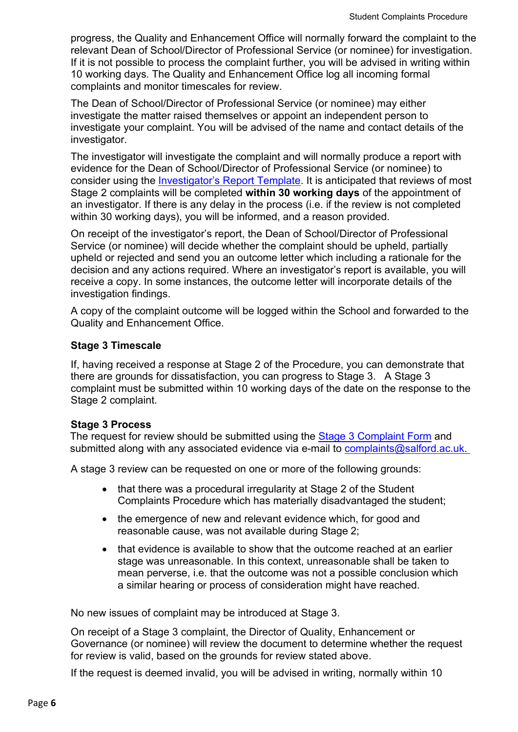progress, the Quality and Enhancement Office will normally forward the complaint to the relevant Dean of School/Director of Professional Service (or nominee) for investigation. If it is not possible to process the complaint further, you will be advised in writing within 10 working days. The Quality and Enhancement Office log all incoming formal complaints and monitor timescales for review.

The Dean of School/Director of Professional Service (or nominee) may either investigate the matter raised themselves or appoint an independent person to investigate your complaint. You will be advised of the name and contact details of the investigator.

The investigator will investigate the complaint and will normally produce a report with evidence for the Dean of School/Director of Professional Service (or nominee) to consider using the [Investigator's Report Template.](https://testlivesalfordac.sharepoint.com/sites/QEO/SitePages/StudentFacingPolicies.aspx) It is anticipated that reviews of most Stage 2 complaints will be completed **within 30 working days** of the appointment of an investigator. If there is any delay in the process (i.e. if the review is not completed within 30 working days), you will be informed, and a reason provided.

On receipt of the investigator's report, the Dean of School/Director of Professional Service (or nominee) will decide whether the complaint should be upheld, partially upheld or rejected and send you an outcome letter which including a rationale for the decision and any actions required. Where an investigator's report is available, you will receive a copy. In some instances, the outcome letter will incorporate details of the investigation findings.

A copy of the complaint outcome will be logged within the School and forwarded to the Quality and Enhancement Office.

## **Stage 3 Timescale**

If, having received a response at Stage 2 of the Procedure, you can demonstrate that there are grounds for dissatisfaction, you can progress to Stage 3. A Stage 3 complaint must be submitted within 10 working days of the date on the response to the Stage 2 complaint.

## **Stage 3 Process**

The request for review should be submitted using the [Stage 3 Complaint Form](https://salford.ac.uk/governance-and-management/student-facing-policies-and-procedures) and submitted along with any associated evidence via e-mail to complaints@salford.ac.uk.

A stage 3 review can be requested on one or more of the following grounds:

- that there was a procedural irregularity at Stage 2 of the Student Complaints Procedure which has materially disadvantaged the student;
- the emergence of new and relevant evidence which, for good and reasonable cause, was not available during Stage 2;
- that evidence is available to show that the outcome reached at an earlier stage was unreasonable. In this context, unreasonable shall be taken to mean perverse, i.e. that the outcome was not a possible conclusion which a similar hearing or process of consideration might have reached.

No new issues of complaint may be introduced at Stage 3.

On receipt of a Stage 3 complaint, the Director of Quality, Enhancement or Governance (or nominee) will review the document to determine whether the request for review is valid, based on the grounds for review stated above.

If the request is deemed invalid, you will be advised in writing, normally within 10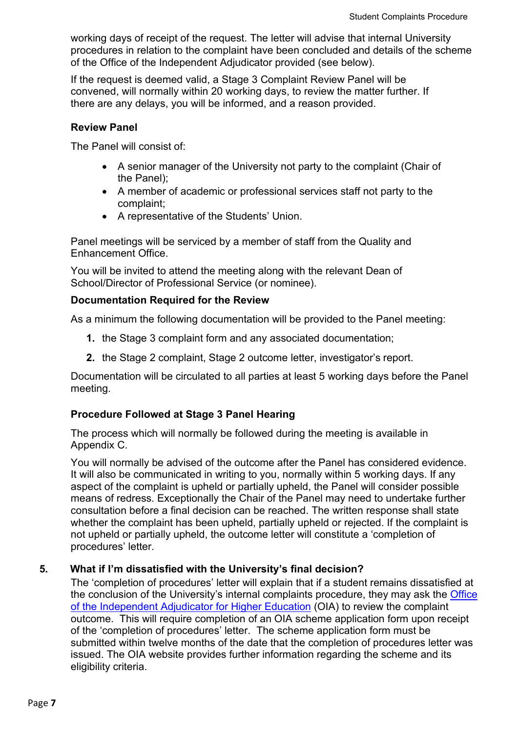working days of receipt of the request. The letter will advise that internal University procedures in relation to the complaint have been concluded and details of the scheme of the Office of the Independent Adjudicator provided (see below).

If the request is deemed valid, a Stage 3 Complaint Review Panel will be convened, will normally within 20 working days, to review the matter further. If there are any delays, you will be informed, and a reason provided.

#### **Review Panel**

The Panel will consist of:

- A senior manager of the University not party to the complaint (Chair of the Panel);
- A member of academic or professional services staff not party to the complaint;
- A representative of the Students' Union.

Panel meetings will be serviced by a member of staff from the Quality and Enhancement Office.

You will be invited to attend the meeting along with the relevant Dean of School/Director of Professional Service (or nominee).

## **Documentation Required for the Review**

As a minimum the following documentation will be provided to the Panel meeting:

- **1.** the Stage 3 complaint form and any associated documentation;
- **2.** the Stage 2 complaint, Stage 2 outcome letter, investigator's report.

Documentation will be circulated to all parties at least 5 working days before the Panel meeting.

## **Procedure Followed at Stage 3 Panel Hearing**

The process which will normally be followed during the meeting is available in Appendix C.

You will normally be advised of the outcome after the Panel has considered evidence. It will also be communicated in writing to you, normally within 5 working days. If any aspect of the complaint is upheld or partially upheld, the Panel will consider possible means of redress. Exceptionally the Chair of the Panel may need to undertake further consultation before a final decision can be reached. The written response shall state whether the complaint has been upheld, partially upheld or rejected. If the complaint is not upheld or partially upheld, the outcome letter will constitute a 'completion of procedures' letter.

## <span id="page-6-0"></span>**5. What if I'm dissatisfied with the University's final decision?**

The 'completion of procedures' letter will explain that if a student remains dissatisfied at the conclusion of the University's internal complaints procedure, they may ask the [Office](http://www.oiahe.org.uk/) [of the Independent Adjudicator for Higher Education](http://www.oiahe.org.uk/) (OIA) to review the complaint outcome. This will require completion of an OIA scheme application form upon receipt of the 'completion of procedures' letter. The scheme application form must be submitted within twelve months of the date that the completion of procedures letter was issued. The OIA website provides further information regarding the scheme and its eligibility criteria.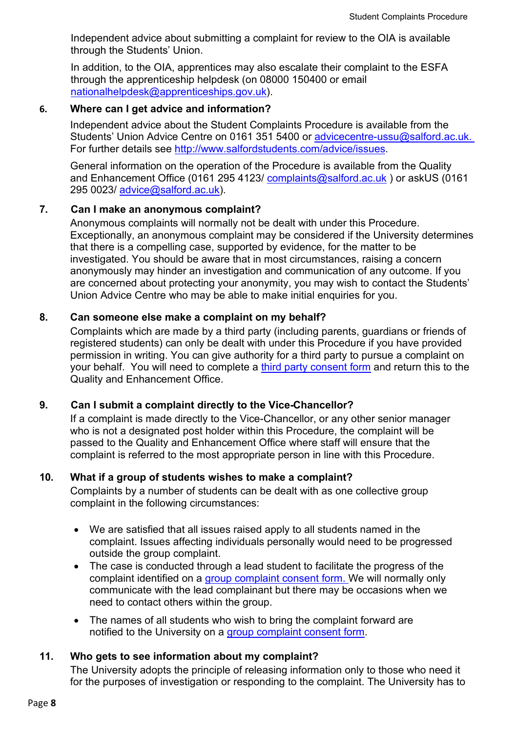Independent advice about submitting a complaint for review to the OIA is available through the Students' Union.

In addition, to the OIA, apprentices may also escalate their complaint to the ESFA through the apprenticeship helpdesk (on 08000 150400 or email [nationalhelpdesk@apprenticeships.gov.uk\)](mailto:nationalhelpdesk@apprenticeships.gov.uk).

#### <span id="page-7-0"></span>**6. Where can I get advice and information?**

Independent advice about the Student Complaints Procedure is available from the Students' Union Advice Centre on 0161 351 5400 or [advicecentre-](mailto:advicecentre-ussu@salford.ac.uk)ussu@salford.ac.uk. For further details see [http://www.salfordstudents.com/advice/issues.](http://www.salfordstudents.com/advice/issues)

General information on the operation of the Procedure is available from the Quality and Enhancement Office (0161 295 4123/ [complaints@salford.ac.uk](mailto:complaints@salford.ac.uk)) or askUS (0161 295 0023/ [advice@salford.ac.uk\)](mailto:advice@salford.ac.uk).

## <span id="page-7-1"></span>**7. Can I make an anonymous complaint?**

Anonymous complaints will normally not be dealt with under this Procedure. Exceptionally, an anonymous complaint may be considered if the University determines that there is a compelling case, supported by evidence, for the matter to be investigated. You should be aware that in most circumstances, raising a concern anonymously may hinder an investigation and communication of any outcome. If you are concerned about protecting your anonymity, you may wish to contact the Students' Union Advice Centre who may be able to make initial enquiries for you.

## <span id="page-7-2"></span>**8. Can someone else make a complaint on my behalf?**

Complaints which are made by a third party (including parents, guardians or friends of registered students) can only be dealt with under this Procedure if you have provided permission in writing. You can give authority for a third party to pursue a complaint on your behalf. You will need to complete a [third party consent](https://salford.ac.uk/governance-and-management/student-facing-policies-and-procedures) form and return this to the Quality and Enhancement Office.

## <span id="page-7-3"></span>**9. Can I submit a complaint directly to the Vice-Chancellor?**

If a complaint is made directly to the Vice-Chancellor, or any other senior manager who is not a designated post holder within this Procedure, the complaint will be passed to the Quality and Enhancement Office where staff will ensure that the complaint is referred to the most appropriate person in line with this Procedure.

#### <span id="page-7-4"></span>**10. What if a group of students wishes to make a complaint?**

Complaints by a number of students can be dealt with as one collective group complaint in the following circumstances:

- We are satisfied that all issues raised apply to all students named in the complaint. Issues affecting individuals personally would need to be progressed outside the group complaint.
- The case is conducted through a lead student to facilitate the progress of the complaint identified on a [group complaint consent form.](https://salford.ac.uk/governance-and-management/student-facing-policies-and-procedures) We will normally only communicate with the lead complainant but there may be occasions when we need to contact others within the group.
- The names of all students who wish to bring the complaint forward are notified to the University on a [group complaint consent form.](https://salford.ac.uk/governance-and-management/student-facing-policies-and-procedures)

## <span id="page-7-5"></span>**11. Who gets to see information about my complaint?**

The University adopts the principle of releasing information only to those who need it for the purposes of investigation or responding to the complaint. The University has to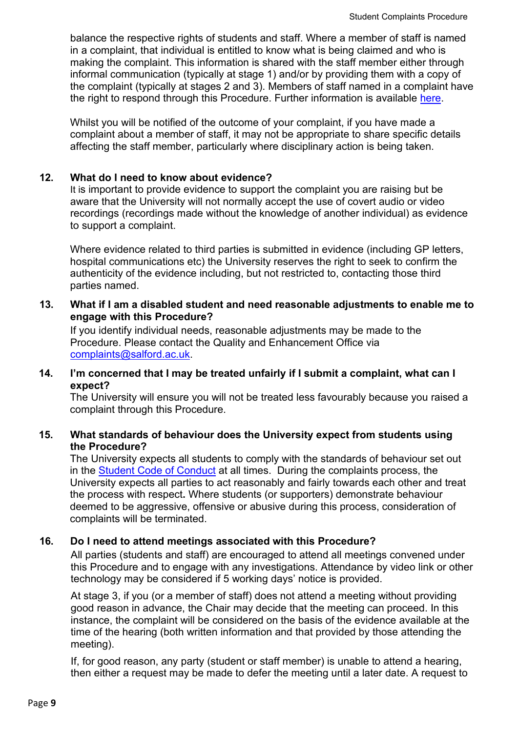balance the respective rights of students and staff. Where a member of staff is named in a complaint, that individual is entitled to know what is being claimed and who is making the complaint. This information is shared with the staff member either through informal communication (typically at stage 1) and/or by providing them with a copy of the complaint (typically at stages 2 and 3). Members of staff named in a complaint have the right to respond through this Procedure. Further information is available [here.](https://salford.ac.uk/governance-and-management/student-facing-policies-and-procedures)

Whilst you will be notified of the outcome of your complaint, if you have made a complaint about a member of staff, it may not be appropriate to share specific details affecting the staff member, particularly where disciplinary action is being taken.

## <span id="page-8-0"></span>**12. What do I need to know about evidence?**

It is important to provide evidence to support the complaint you are raising but be aware that the University will not normally accept the use of covert audio or video recordings (recordings made without the knowledge of another individual) as evidence to support a complaint.

Where evidence related to third parties is submitted in evidence (including GP letters, hospital communications etc) the University reserves the right to seek to confirm the authenticity of the evidence including, but not restricted to, contacting those third parties named.

<span id="page-8-1"></span>**13. What if I am a disabled student and need reasonable adjustments to enable me to engage with this Procedure?**

If you identify individual needs, reasonable adjustments may be made to the Procedure. Please contact the Quality and Enhancement Office via [complaints@salford.ac.uk.](mailto:complaints@salford.ac.uk)

## <span id="page-8-2"></span>**14. I'm concerned that I may be treated unfairly if I submit a complaint, what can I expect?**

The University will ensure you will not be treated less favourably because you raised a complaint through this Procedure.

## <span id="page-8-3"></span>**15. What standards of behaviour does the University expect from students using the Procedure?**

The University expects all students to comply with the standards of behaviour set out in the [Student Code of Conduct](https://salford.ac.uk/governance-and-management/student-facing-policies-and-procedures) at all times. During the complaints process, the University expects all parties to act reasonably and fairly towards each other and treat the process with respect**.** Where students (or supporters) demonstrate behaviour deemed to be aggressive, offensive or abusive during this process, consideration of complaints will be terminated.

# <span id="page-8-4"></span>**16. Do I need to attend meetings associated with this Procedure?**

All parties (students and staff) are encouraged to attend all meetings convened under this Procedure and to engage with any investigations. Attendance by video link or other technology may be considered if 5 working days' notice is provided.

At stage 3, if you (or a member of staff) does not attend a meeting without providing good reason in advance, the Chair may decide that the meeting can proceed. In this instance, the complaint will be considered on the basis of the evidence available at the time of the hearing (both written information and that provided by those attending the meeting).

If, for good reason, any party (student or staff member) is unable to attend a hearing, then either a request may be made to defer the meeting until a later date. A request to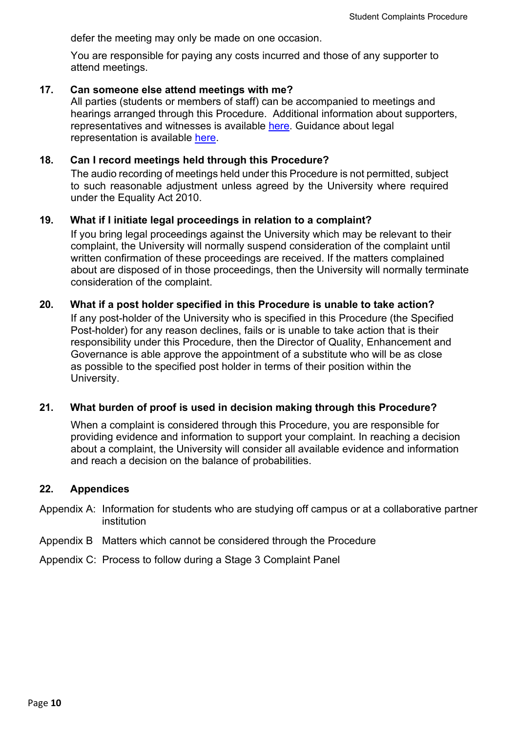defer the meeting may only be made on one occasion.

You are responsible for paying any costs incurred and those of any supporter to attend meetings.

#### <span id="page-9-0"></span>**17. Can someone else attend meetings with me?**

All parties (students or members of staff) can be accompanied to meetings and hearings arranged through this Procedure. Additional information about supporters, representatives and witnesses is available [here.](https://salford.ac.uk/governance-and-management/student-facing-policies-and-procedures) Guidance about legal representation is available [here.](https://salford.ac.uk/governance-and-management/student-facing-policies-and-procedures)

#### <span id="page-9-1"></span>**18. Can I record meetings held through this Procedure?**

The audio recording of meetings held under this Procedure is not permitted, subject to such reasonable adjustment unless agreed by the University where required under the Equality Act 2010.

#### <span id="page-9-2"></span>**19. What if I initiate legal proceedings in relation to a complaint?**

If you bring legal proceedings against the University which may be relevant to their complaint, the University will normally suspend consideration of the complaint until written confirmation of these proceedings are received. If the matters complained about are disposed of in those proceedings, then the University will normally terminate consideration of the complaint.

#### <span id="page-9-3"></span>**20. What if a post holder specified in this Procedure is unable to take action?**

If any post-holder of the University who is specified in this Procedure (the Specified Post-holder) for any reason declines, fails or is unable to take action that is their responsibility under this Procedure, then the Director of Quality, Enhancement and Governance is able approve the appointment of a substitute who will be as close as possible to the specified post holder in terms of their position within the University.

## **21. What burden of proof is used in decision making through this Procedure?**

When a complaint is considered through this Procedure, you are responsible for providing evidence and information to support your complaint. In reaching a decision about a complaint, the University will consider all available evidence and information and reach a decision on the balance of probabilities.

#### <span id="page-9-4"></span>**22. Appendices**

Appendix A: Information for students who are studying off campus or at a collaborative partner institution

- Appendix B Matters which cannot be considered through the Procedure
- Appendix C: Process to follow during a Stage 3 Complaint Panel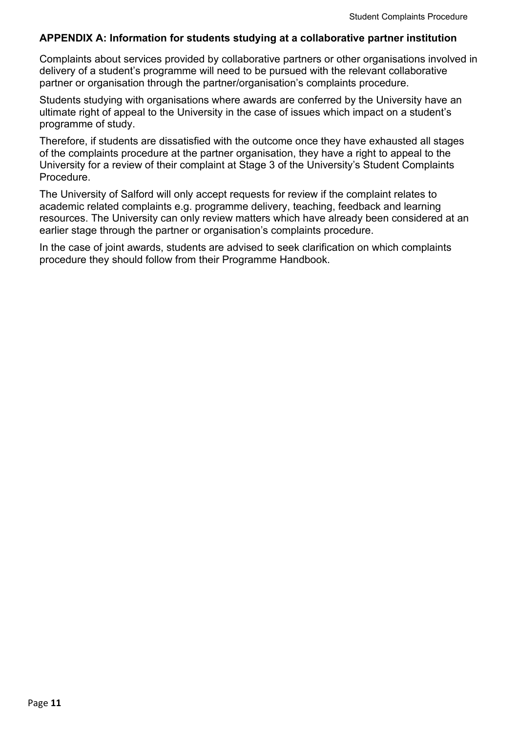## <span id="page-10-0"></span>**APPENDIX A: Information for students studying at a collaborative partner institution**

Complaints about services provided by collaborative partners or other organisations involved in delivery of a student's programme will need to be pursued with the relevant collaborative partner or organisation through the partner/organisation's complaints procedure.

Students studying with organisations where awards are conferred by the University have an ultimate right of appeal to the University in the case of issues which impact on a student's programme of study.

Therefore, if students are dissatisfied with the outcome once they have exhausted all stages of the complaints procedure at the partner organisation, they have a right to appeal to the University for a review of their complaint at Stage 3 of the University's Student Complaints Procedure.

The University of Salford will only accept requests for review if the complaint relates to academic related complaints e.g. programme delivery, teaching, feedback and learning resources. The University can only review matters which have already been considered at an earlier stage through the partner or organisation's complaints procedure.

In the case of joint awards, students are advised to seek clarification on which complaints procedure they should follow from their Programme Handbook.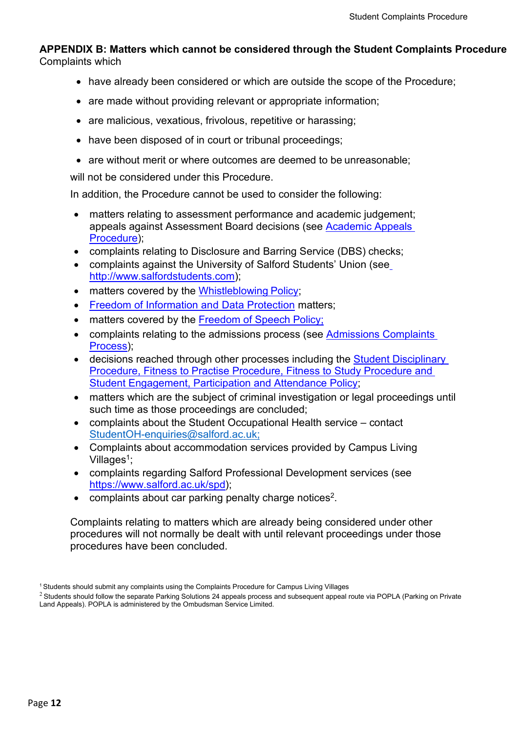## <span id="page-11-0"></span>**APPENDIX B: Matters which cannot be considered through the Student Complaints Procedure** Complaints which

- have already been considered or which are outside the scope of the Procedure;
- are made without providing relevant or appropriate information;
- are malicious, vexatious, frivolous, repetitive or harassing;
- have been disposed of in court or tribunal proceedings;
- are without merit or where outcomes are deemed to be unreasonable;

will not be considered under this Procedure.

In addition, the Procedure cannot be used to consider the following:

- matters relating to assessment performance and academic judgement; appeals against Assessment Board decisions (see [Academic](https://salford.ac.uk/governance-and-management/student-facing-policies-and-procedures) [Appeals](http://www.salford.ac.uk/university/governance/policies-and-procedures/browse-by-theme/2) [Procedure\)](http://www.salford.ac.uk/university/governance/policies-and-procedures/browse-by-theme/2);
- complaints relating to Disclosure and Barring Service (DBS) checks;
- complaints against the University of Salford Students' Union (see [http://www.salfordstudents.com\)](http://www.salfordstudents.com/);
- matters covered by the [Whistleblowing](https://www.salford.ac.uk/sites/default/files/2020-01/Whistle%20Blowing%20Policy.pdf) Policy;
- **[Freedom of Information](https://www.salford.ac.uk/privacy) and Data Protection matters;**
- matters covered by the [Freedom of Speech](http://www.salford.ac.uk/about-us/corporate-information/governance/policies-and-procedures/browse-by-theme/2) Policy;
- complaints relating to the admissions process (see Admissions Complaints [Process\)](https://www.salford.ac.uk/admissions-complaints);
- decisions reached through other processes including the Student Disciplinary Procedure, Fitness [to Practise Procedure, Fitness to Study Procedure](https://salford.ac.uk/governance-and-management/student-facing-policies-and-procedures) and [Student Engagement, Participation and Attendance Policy;](https://salford.ac.uk/governance-and-management/student-facing-policies-and-procedures)
- matters which are the subject of criminal investigation or legal proceedings until such time as those proceedings are concluded;
- complaints about the Student Occupational Health service contact [StudentOH-enquiries@salford.ac.uk;](mailto:StudentOH-enquiries@salford.ac.uk)
- Complaints about accommodation services provided by Campus Living Villages<sup>1</sup>;
- complaints regarding Salford Professional Development services (see [https://www.salford.ac.uk/spd\)](https://www.salford.ac.uk/spd);
- complaints about car parking penalty charge notices<sup>2</sup>.

Complaints relating to matters which are already being considered under other procedures will not normally be dealt with until relevant proceedings under those procedures have been concluded.

<sup>1</sup> Students should submit any complaints using the Complaints Procedure for Campus Living Villages

<span id="page-11-1"></span> $2$  Students should follow the separate Parking Solutions 24 appeals process and subsequent appeal route via POPLA (Parking on Private Land Appeals). POPLA is administered by the Ombudsman Service Limited.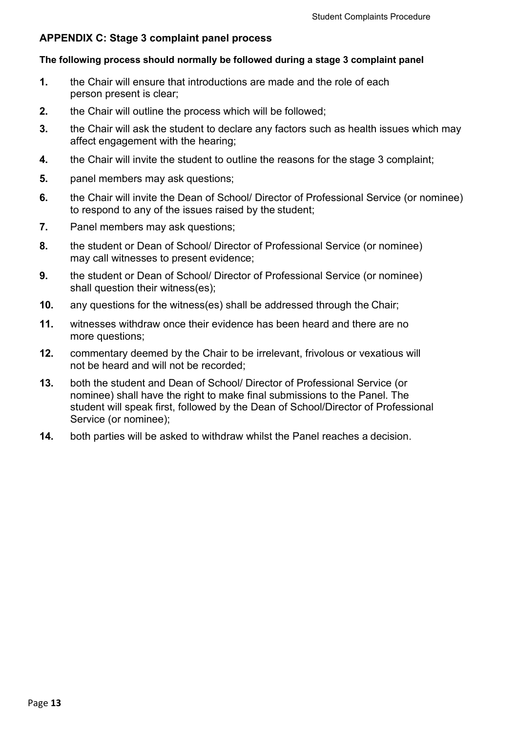## <span id="page-12-0"></span>**APPENDIX C: Stage 3 complaint panel process**

#### **The following process should normally be followed during a stage 3 complaint panel**

- **1.** the Chair will ensure that introductions are made and the role of each person present is clear;
- **2.** the Chair will outline the process which will be followed;
- **3.** the Chair will ask the student to declare any factors such as health issues which may affect engagement with the hearing;
- **4.** the Chair will invite the student to outline the reasons for the stage 3 complaint;
- **5.** panel members may ask questions;
- **6.** the Chair will invite the Dean of School/ Director of Professional Service (or nominee) to respond to any of the issues raised by the student;
- **7.** Panel members may ask questions;
- **8.** the student or Dean of School/ Director of Professional Service (or nominee) may call witnesses to present evidence;
- **9.** the student or Dean of School/ Director of Professional Service (or nominee) shall question their witness(es);
- **10.** any questions for the witness(es) shall be addressed through the Chair;
- **11.** witnesses withdraw once their evidence has been heard and there are no more questions;
- **12.** commentary deemed by the Chair to be irrelevant, frivolous or vexatious will not be heard and will not be recorded;
- **13.** both the student and Dean of School/ Director of Professional Service (or nominee) shall have the right to make final submissions to the Panel. The student will speak first, followed by the Dean of School/Director of Professional Service (or nominee);
- **14.** both parties will be asked to withdraw whilst the Panel reaches a decision.